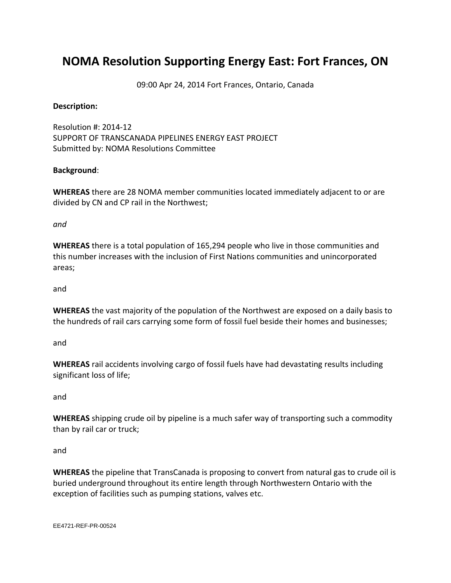## **NOMA Resolution Supporting Energy East: Fort Frances, ON**

09:00 Apr 24, 2014 Fort Frances, Ontario, Canada

## **Description:**

Resolution #: 2014-12 SUPPORT OF TRANSCANADA PIPELINES ENERGY EAST PROJECT Submitted by: NOMA Resolutions Committee

## **Background**:

**WHEREAS** there are 28 NOMA member communities located immediately adjacent to or are divided by CN and CP rail in the Northwest;

*and*

**WHEREAS** there is a total population of 165,294 people who live in those communities and this number increases with the inclusion of First Nations communities and unincorporated areas;

and

**WHEREAS** the vast majority of the population of the Northwest are exposed on a daily basis to the hundreds of rail cars carrying some form of fossil fuel beside their homes and businesses;

and

**WHEREAS** rail accidents involving cargo of fossil fuels have had devastating results including significant loss of life;

and

**WHEREAS** shipping crude oil by pipeline is a much safer way of transporting such a commodity than by rail car or truck;

and

**WHEREAS** the pipeline that TransCanada is proposing to convert from natural gas to crude oil is buried underground throughout its entire length through Northwestern Ontario with the exception of facilities such as pumping stations, valves etc.

EE4721-REF-PR-00524